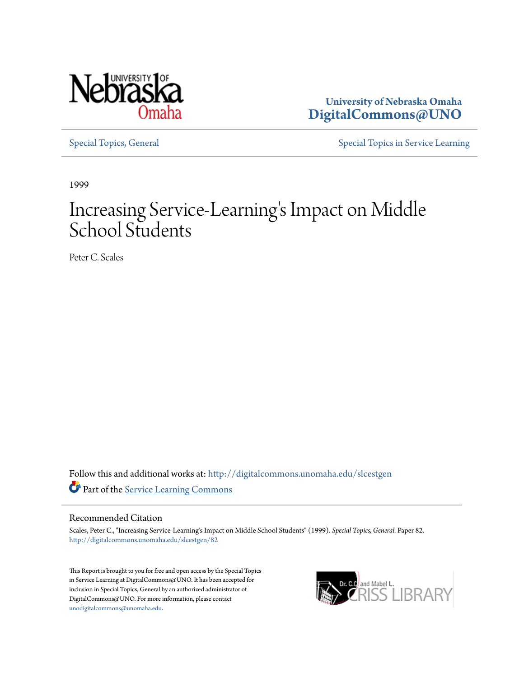

**University of Nebraska Omaha [DigitalCommons@UNO](http://digitalcommons.unomaha.edu?utm_source=digitalcommons.unomaha.edu%2Fslcestgen%2F82&utm_medium=PDF&utm_campaign=PDFCoverPages)**

[Special Topics, General](http://digitalcommons.unomaha.edu/slcestgen?utm_source=digitalcommons.unomaha.edu%2Fslcestgen%2F82&utm_medium=PDF&utm_campaign=PDFCoverPages) [Special Topics in Service Learning](http://digitalcommons.unomaha.edu/slcespecialtopics?utm_source=digitalcommons.unomaha.edu%2Fslcestgen%2F82&utm_medium=PDF&utm_campaign=PDFCoverPages)

1999

# Increasing Service-Learning 's Impact on Middle School Students

Peter C. Scales

Follow this and additional works at: [http://digitalcommons.unomaha.edu/slcestgen](http://digitalcommons.unomaha.edu/slcestgen?utm_source=digitalcommons.unomaha.edu%2Fslcestgen%2F82&utm_medium=PDF&utm_campaign=PDFCoverPages) Part of the [Service Learning Commons](http://network.bepress.com/hgg/discipline/1024?utm_source=digitalcommons.unomaha.edu%2Fslcestgen%2F82&utm_medium=PDF&utm_campaign=PDFCoverPages)

#### Recommended Citation

Scales, Peter C., "Increasing Service-Learning's Impact on Middle School Students" (1999). *Special Topics, General.* Paper 82. [http://digitalcommons.unomaha.edu/slcestgen/82](http://digitalcommons.unomaha.edu/slcestgen/82?utm_source=digitalcommons.unomaha.edu%2Fslcestgen%2F82&utm_medium=PDF&utm_campaign=PDFCoverPages)

This Report is brought to you for free and open access by the Special Topics in Service Learning at DigitalCommons@UNO. It has been accepted for inclusion in Special Topics, General by an authorized administrator of DigitalCommons@UNO. For more information, please contact [unodigitalcommons@unomaha.edu](mailto:unodigitalcommons@unomaha.edu).

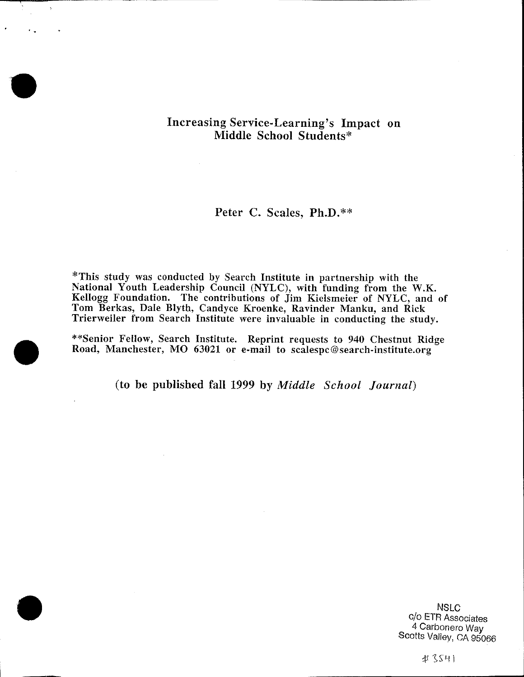## Increasing Service-Learning's Impact on Middle School Students\*

## Peter C. Scales, **Ph.D.\*\***

\*This study was conducted by Search Institute in partnership with the National Youth Leadership Council (NYLC), with funding from the W.K. Kellogg Foundation. The contributions of Jim Kielsmeier of NYLC, and of Tom Berkas, Dale Blyth, Candyce Kroenke, Ravinder Manku, and Rick Trierweiler from Search Institute were invaluable in conducting the study.

\*\*Senior Fellow, Search Institute. Reprint requests to 940 Chestnut Ridge Road, Manchester, MO 63021 or e-mail to scalespc@search-institute.org

(to be published fall 1999 by *Middle School Journal*)

**NSLC** c/o ETR Associates 4 Carbonero Way Scotts Valley, CA 95066

#3541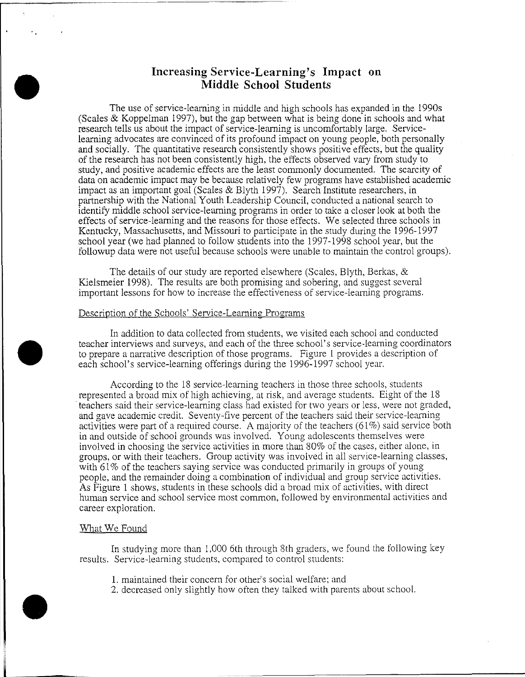### **Increasing Service-Learning's Impact on .Middle School Students**

The use of service-learning in middle and high schools has expanded in the 1990s (Scales & Koppelman 1997), but the gap between what is being done in schools and what research tells us about the impact of service-learning is uncomfortably large. Servicelearning advocates are convinced of its profound impact on young people, both personally and socially. The quantitative research consistently shows positive effects, but the quality of the research has not been consistently high, the effects observed vary from study to study, and positive academic effects are the least commonly documented. The scarcity of data on academic impact may be because relatively few programs have established academic impact as an important goal (Scales & Blyth 1997). Search Institute researchers, in partnership with the National Youth Leadership Council, conducted a national search to identify middle school service-learning programs in order to take a closer look at both the effects of service-learning and the reasons for those effects. We selected three schools in Kentucky, Massachusetts, and Missouri to participate in the study during the 1996-1997 school year (we had planned to follow students into the 1997-1998 school year, but the followup data were not useful because schools were unable to maintain the control groups).

The details of our study are reported elsewhere (Scales, Blyth, Berkas, & Kielsmeier 1998). The results are both promising and sobering, and suggest several important lessons for how to increase the effectiveness of service-learning programs.

#### Description of the Schools' Service-Learning Programs

In addition to data collected from students, we visited each school and conducted teacher interviews and surveys, and each of the three school's service-learning coordinators to prepare a narrative description of those programs. Figure 1 provides a description of each school's service-learning offerings during the 1996-1997 school year.

According to the 18 service-learning teachers in those three schools, students represented a broad mix of high achieving, at risk, and average students. Eight of the 18 teachers said their service-learning class had existed for two years or less, were not graded, and gave academic credit. Seventy-five percent of the teachers said their service-learning activities were part of a required course. A majority of the teachers  $(61\%)$  said service both in and outside of school grounds was involved. Young adolescents themselves were involved in choosing the service activities in more than 80% of the cases, either alone, in groups, or with their teachers. Group activity was involved in all service-learning classes, with 61% of the teachers saying service was conducted primarily in groups of young people, and the remainder doing a combination of individual and group service activities. As Figure 1 shows, students in these schools did a broad mix of activities, with direct human service and school service most common, followed by environmental activities and career exploration.

#### What We Found

In studying more than 1,000 6th through 8th graders, we found the following key results. Service-learning students, compared to control students:

- 1. maintained their concern for other's social welfare; and
- 2. decreased only slightly how often they talked with parents about school.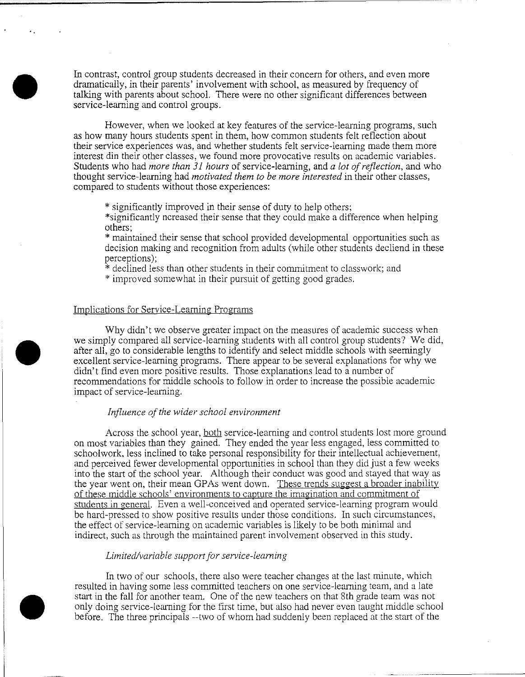In contrast, control group students decreased in their concern for others, and even more dramatically, in their parents' involvement with school, as measured by frequency of talking with parents about school. There were no other significant differences between service-learning and control groups.

However, when we looked at key features of the service-learning programs, such as how many hours students spent in them, how common students felt reflection about their service experiences was, and whether students felt service-learning made them more interest din their other classes, we found more provocative results on academic variables. Students who had *more than 31 hours* of service-learning, and *a lot of reflection,* and who thought service-learning had *motivated them to be more interested* in their other classes, compared to students without those experiences:

\* significantly improved in their sense of duty to help others;

\*significantly ncreased their sense that they could make a difference when helping others;

\* maintained their sense that school provided developmental opportunities such as decision making and recognition from adults (while other students decliend in these perceptions);

\* declined less than other students in their commitment to classwork; and

\* improved somewhat in their pursuit of getting good grades.

#### Implications for Service-Learning Programs

Why didn't we observe greater impact on the measures of academic success when we simply compared all service-learning students with all control group students? We did, after all, go to considerable lengths to identify and select middle schools with seemingly excellent service-learning programs. There appear to be several explanations for why we didn't find even more positive results. Those explanations lead to a number of recommendations for middle schools to follow in order to increase the possible academic impact of service-learning.

#### *Influence of the wider school environment*

Across the school year, both service-learning and control students lost more ground on most variables than they gained. They ended the year less engaged, less committed to schoolwork, less inclined to take personal responsibility for their intellectual achievement, and perceived fewer developmental opportunities in school than they did just a few weeks into the start of the school year. Although their conduct was good and stayed that way as the year went on, their mean GPAs went down. These trends suggest a broader inability of these middle schools' environments to capture the imagination and commitment of students in general. Even a well-conceived and operated service-learning program would be hard-pressed to show positive results under those conditions. In such circumstances, the etfect of service-learning on academic variables is likely to be both minimal and indirect, such as through the maintained parent involvement observed in this study.

#### *Limited/variable support for service-learning*

In two of our schools, there also were teacher changes at the last minute, which resulted in having some less committed teachers on one service-learning team, and a late start in the fall for another team. One of the new teachers on that 8th grade team was not only doing service-learning for the first time, but also had never even taught middle school before. The three principals --two of whom had suddenly been replaced at the start of the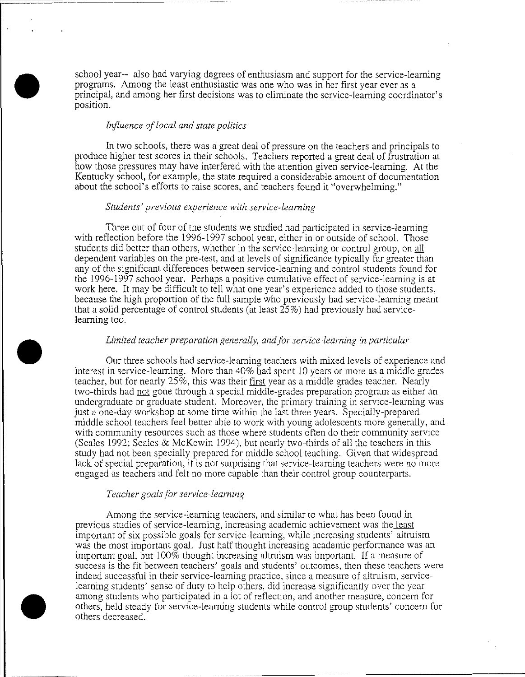school year-- also had varying degrees of enthusiasm and support for the service-learning programs. Among the least enthusiastic was one who was in her first year ever as a principal, and among her first decisions was to eliminate the service-learning coordinator's position.

#### *Influence of local and state politics*

In two schools, there was a great deal of pressure on the teachers and principals to produce higher test scores in their schools. Teachers reported a great deal of frustration at how those pressures may have interfered with the attention given service-learning. At the Kentucky school, for example, the state required a considerable amount of documentation about the school's efforts to raise scores, and teachers found it "overwhelming."

#### *Students' previous experience with service-learning*

Three out of four of the students we studied had panicipated in service-learning with reflection before the 1996-1997 school year, either in or outside of school. Those students did better than others, whether in the service-learning or control group, on all dependent variables on the pre-test, and at levels of significance typically far greater than any of the significant differences between service-learning and control students found for the 1996-1997 school year. Perhaps a positive cumulative effect of service-learning is at work here. It may be difficult to tell what one year's experience added to those students, because the high proportion of the full sample who previously had service-learning meant that a solid percentage of control students (at least 25%) had previously had servicelearning too.

#### *Limited teacher preparation generally, and for service-learning in particular*

Our three schools had service-learning teachers with mixed levels of experience and interest in service-learning. More than 40% had spent 10 years or more as a middle grades teacher, but for nearly 25%, this was their first year as a middle grades teacher. Nearly two-thirds had not gone through a special middle-grades preparation program as either an undergraduate or graduate student. Moreover, the primary training in service-learning was just a one-day workshop at some time within the last three years. Specially-prepared middle school teachers feel better able to work with young adolescents more generally, and with community resources such as those where students often do their community service (Scales 1992; Scales & McKewin 1994), but nearly two-thirds of all the teachers in this study had not been specially prepared for middle school teaching. Given that widespread lack of special preparation, it is not surprising that service-leaming teachers were no more engaged as teachers and felt no more capable than their control group counterpans.

#### *Teacher goals for service-learning*

Among the service-learning teachers, and similar to what has been found in previous studies of service-learning, increasing academic achievement was the least important of six possible goals for service-learning, while increasing students' altruism was the most important goal. Just half thought increasing academic performance was an important goal, but 100% thought increasing altruism was important. If a measure of success is the fit between teachers' goals and students' outcomes, then these teachers were indeed successful in their service-leaming practice, since a measure of altmism, servicelearning students' sense of duty to help others, did increase significantly over the year among students who participated in a lot of reflection, and another measure, concern for others, held steady for service-leaming students while control group students' concem for others decreased.

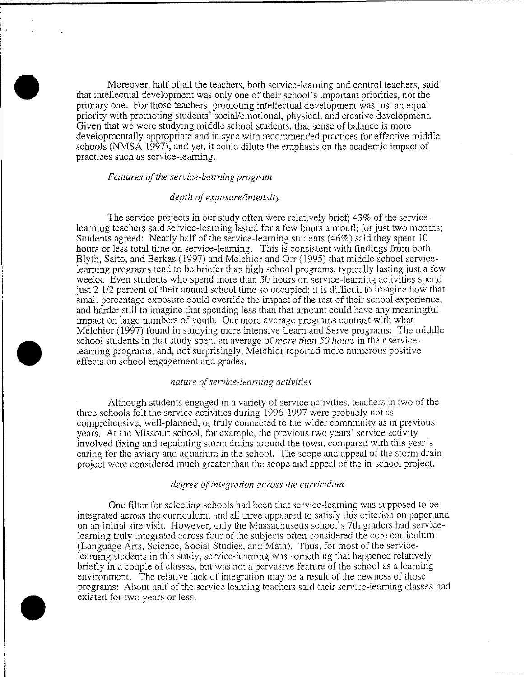Moreover, half of all the teachers, both service-learning and control teachers, said that intellectual development was only one of their school's important priorities, not the primary one. For those teachers, promoting intellectual development was just an equal priority with promoting students' social/emotional, physical, and creative development. Given that we were studying middle school students, that sense of balance is more developmentally appropriate and in sync with recommended practices for effective middle schools (NMSA 1997), and yet, it could dilute the emphasis on the academic impact of practices such as service-learning.

#### *Features of the service-learning program*

#### *depth of exposure/intensity*

The service projects in our study often were relatively brief; 43% of the servicelearning teachers said service-learning lasted for a few hours a month for just two months; Students agreed: Nearly half of the service-learning students (46%) said they spent 10 hours or less total time on service-learning. This is consistent with findings from both Blyth, Saito, and Berkas (1997) and Melchior and Orr (1995) that middle school servicelearning programs tend to be briefer than high school programs, typically lasting just a few weeks. Even students who spend more than 30 hours on service-learning activities spend just 2 112 percent of their annual school time so occupied; it is difticult to imagine how that small percentage exposure could override the impact of the rest of their school experience, and harder still to imagine that spending less than that amount could have any meaningful impact on large numbers of youth. Our more average programs contrast with what Melchior (1997) found in studying more intensive Learn and Serve programs: The middle school students in that study spent an average of *more than 50 hours* in their servicelearning programs, and, not surprisingly, Melchior reported more numerous positive effects on school engagement and grades.

#### *nature of service-learning activities*

Although students engaged in a variety of service activities, teachers in two of the three schools felt the service activities during 1996-1997 were probably not as comprehensive, well-planned, or truly connected to the wider community as in previous years. At the Missouri school, for example, the previous two years' service activity involved fixing and repainting storm drains around the town, compared with this year's caring for the aviary and aquarium in the school. The scope and appeal of the storm drain project were considered much greater than the scope and appeal of the in-school project.

#### *degree of integration across the curriculum*

One filter for selecting schools had been that service-learning was supposed to be integrated across the curriculum, and all three appeared to satisfy this criterion on paper and on an initial site visit. However, only the Massachusetts school's 7th graders had servicelearning truly integrated across four of the subjects often considered the core curriculum (Language Arts, Science, Social Studies, and Math). Thus, for most of the servicelearning students in this study, service-learning was something that happened relatively briet1y in a couple of classes, but was not a pervasive feature of the school as a learning environment. The relative lack of integration may be a result of the newness of those programs: About half of the service learning teachers said their service-learning classes had existed for two years or less.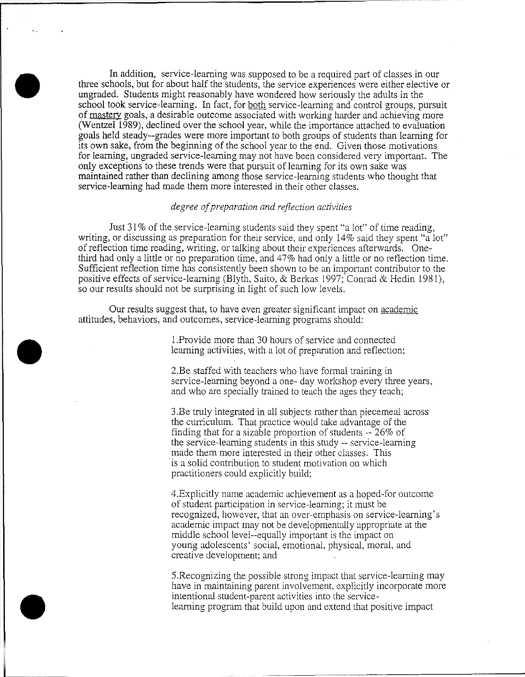In addition, service-learning was supposed to be a required part of classes in our three schools, but for about half the students, the service experiences were either elective or ungraded. Students might reasonably have wondered how seriously the adults in the school took service-learning. In fact, for both service-learning and control groups, pursuit of mastery goals, a desirable outcome associated with working harder and achieving more (Wentzel  $1\overline{989}$ ), declined over the school year, while the importance attached to evaluation goals held steady--grades were more important to both groups of students than learning for its own sake, from the beginning of the school year to the end. Given those motivations for learning, ungraded service-learning may not have been considered very important. The only exceptions to these trends were that pursuit of learning for its own sake was maintained rather than declining among those service-learning students who thought that service-learning had made them more interested in their other classes.

#### *degree ofpreparation and reflection activities*

Just 31% of the service-learning students said they spent "a lot" of time reading, writing, or discussing as preparation for their service, and only 14% said they spent "a lot" of reflection time reading, writing, or talking about their experiences afterwards. Onethird had only a little or no preparation time, and 47% had only a little or no reflection time. Sufficient reflection time has consistently been shown to be an important contributor to the positive effects of service-learning (Blyth, Saito, & Berkas 1997; Conrad & Hedin 1981), so our results should not be surprising in light of such low levels.

Our results suggest that, to have even greater significant impact on academic attitudes, behaviors, and outcomes, service-learning programs should:

> !.Provide more than 30 hours of service and connected learning activities, with a lot of preparation and reflection;

2.Be staffed with teachers who have formal training in service-learning beyond a one- day workshop every three years, and who are specially trained to teach the ages they teach;

3 .Be truly integrated in all subjects rather than piecemeal across the curriculum. That practice would take advantage of the finding that for a sizable proportion of students -- 26% of the service-learning students in this study -- service-learning made them more interested in their other classes. This is a solid contribution to student motivation on which practitioners could explicitly build;

4.Explicitly name academic achievement as a hoped-for outcome of student participation in service-learning; it must be recognized, however, that an over-emphasis on service-learning's academic impact may not be developmentally appropriate at the middle school level--equally important is the impact on young adolescents' social, emotional, physical, moral, and creative development; and

5.Recognizing the possible strong impact that service-learning may have in maintaining parent involvement, explicitly incorporate more intentional student-parent activities into the servicelearning program that build upon and extend that positive impact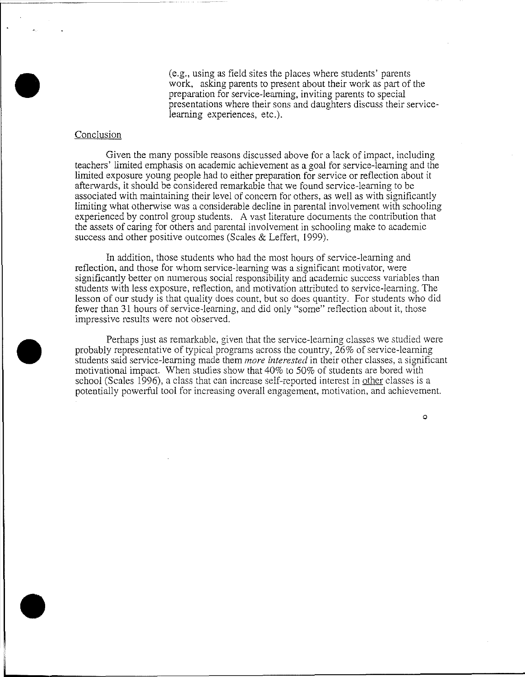(e.g., using as field sites the places where students' parents work, asking parents to present about their work as part of the preparation for service-learning, inviting parents to special presentations where their sons and daughters discuss their servicelearning experiences, etc.).

#### Conclusion

Given the many possible reasons discussed above for a lack of impact, including teachers' limited emphasis on academic achievement as a goal for service-learning and the limited exposure young people had to either preparation for service or reflection about it afterwards, it should be considered remarkable that we found service-learning to be associated with maintaining their level of concern for others, as well as with significantly limiting what otherwise was a considerable decline in parental involvement with schooling experienced by control group students. A vast literature documents the contribution that the assets of caring for others and parental involvement in schooling make to academic success and other positive outcomes (Scales & Leffert, 1999).

In addition, those students who had the most hours of service-learning and reflection, and those for whom service-learning was a significant motivator, were significantly better on numerous social responsibility and academic success variables than students with less exposure, reflection, and motivation attributed to service-learning. The lesson of our study is that quality does count, but so does quantity. For students who did fewer than 31 hours of service-learning, and did only "some" reflection about it, those impressive results were not observed.

Perhaps just as remarkable, given that the service-learning classes we studied were probably representative of typical programs across the country, 26% of service-learning students said service-learning made them *more interested* in their other classes, a signiticant motivational impact. When studies show that 40% to 50% of students are bored with school (Scales 1996), a class that can increase self-reported interest in other classes is a potentially powerful tool for increasing overall engagement, motivation, and achievement.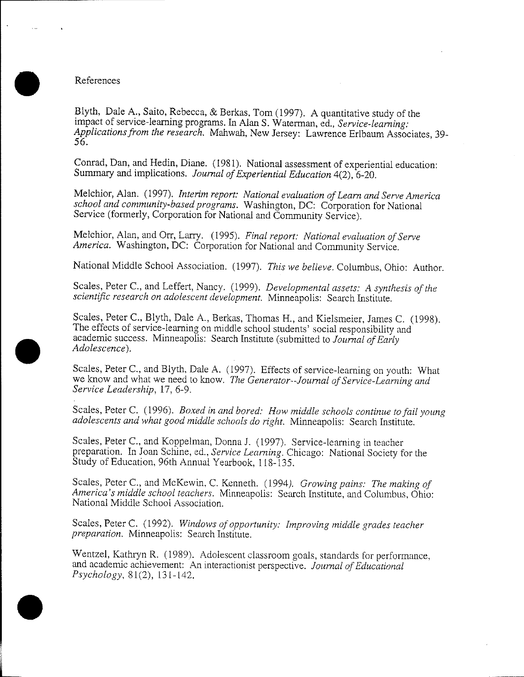#### References

Blyth, Dale A., Saito, Rebecca, & Berkas, Tom (1997). A quantitative study of the impact of service-learning programs. In Alan S. Waterman, ed., *Service-learning: Applications from the research.* Mahwah, New Jersey: Lawrence Erlbaum Associates, 39- 56.

Conrad, Dan, and Hedin, Diane. (1981). National assessment of experiential education: Summary and implications. *Journal of Experiential Education* 4(2), 6-20.

Melchior, Alan. ( 1997). *Interim report: National evaluation of Learn and Serve America school and community-based programs.* Washington, DC: Corporation for National Service (formerly, Corporation for National and Community Service).

Melchior, Alan, and Orr, Larry. ( 1995). *Final report: National evaluation of Serve America.* Washington, DC: Corporation for National and Community Service.

National Middle School Association. (1997). *This we believe.* Columbus, Ohio: Author.

Scales, Peter C., and Leffert, Nancy. (1999). *Developmental assets: A synthesis of the scientific research on adolescent development.* Minneapolis: Search Institute.

Scales, Peter C., Blyth, Dale A., Berkas, Thomas H., and Kielsmeier, James C. (1998). The effects of service-learning on middle school students' social responsibility and academic success. Minneapolis: Search Institute (submitted to *Journal of Early Adolescence).* 

Scales, Peter C., and Blyth, Dale A. (1997). Effects of service-learning on youth: What we know and what we need to know. *The Generator--Journal of Service-Learning and Service Leadership,* 17, 6-9.

Scales, Peter C. (1996). *Boxed in and bored: How middle schools continue to fail young adolescents and what good middle schools do right.* Minneapolis: Search Institute.

Scales, Peter C., and Koppelman, Donna J. ( 1997). Service-learning in teacher preparation. In Joan Schine, ed., *Service Learning.* Chicago: National Society for the Study of Education, 96th Annual Yearbook, 118-135.

Scales, Peter C., and McKewin, C. Kenneth. (1994). *Growing pains: The making of America's middle school teachers.* Minneapolis: Search Institute, and Columbus, Ohio: National Middle School Association.

Scales, Peter C. (1992). *Windows of opportunity: Improving middle grades teacher preparation.* Minneapolis: Search Institute.

Wentzel, Kathryn R. ( 1989). Adolescent classroom goals, standards for performance, and academic achievement: An interactionist perspective. *Journal of Educational Psychology,* 81(2), 131-142.